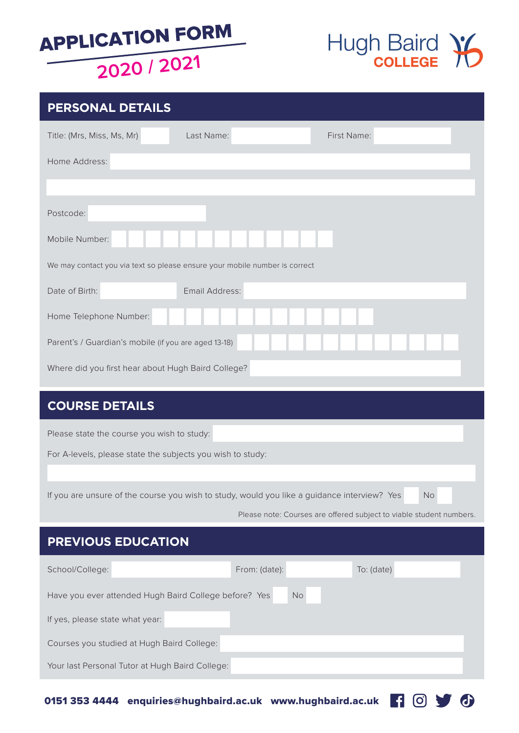



| <b>PERSONAL DETAILS</b>                                                                                                                                                         |
|---------------------------------------------------------------------------------------------------------------------------------------------------------------------------------|
| Last Name:<br>First Name:<br>Title: (Mrs, Miss, Ms, Mr)                                                                                                                         |
| Home Address:                                                                                                                                                                   |
|                                                                                                                                                                                 |
| Postcode:                                                                                                                                                                       |
| Mobile Number:                                                                                                                                                                  |
| We may contact you via text so please ensure your mobile number is correct                                                                                                      |
| Email Address:<br>Date of Birth:                                                                                                                                                |
| Home Telephone Number:                                                                                                                                                          |
| Parent's / Guardian's mobile (if you are aged 13-18)                                                                                                                            |
| Where did you first hear about Hugh Baird College?                                                                                                                              |
|                                                                                                                                                                                 |
| <b>COURSE DETAILS</b>                                                                                                                                                           |
| Please state the course you wish to study:                                                                                                                                      |
| For A-levels, please state the subjects you wish to study:                                                                                                                      |
|                                                                                                                                                                                 |
| If you are unsure of the course you wish to study, would you like a guidance interview? Yes<br><b>No</b><br>Please note: Courses are offered subject to viable student numbers. |
| <b>PREVIOUS EDUCATION</b>                                                                                                                                                       |
| From: (date):<br>School/College:<br>To: (date)                                                                                                                                  |
| Have you ever attended Hugh Baird College before? Yes<br><b>No</b>                                                                                                              |
| If yes, please state what year:                                                                                                                                                 |
| Courses you studied at Hugh Baird College:                                                                                                                                      |

0151 353 4444 enquiries@hughbaird.ac.uk www.hughbaird.ac.uk | 0 9 0